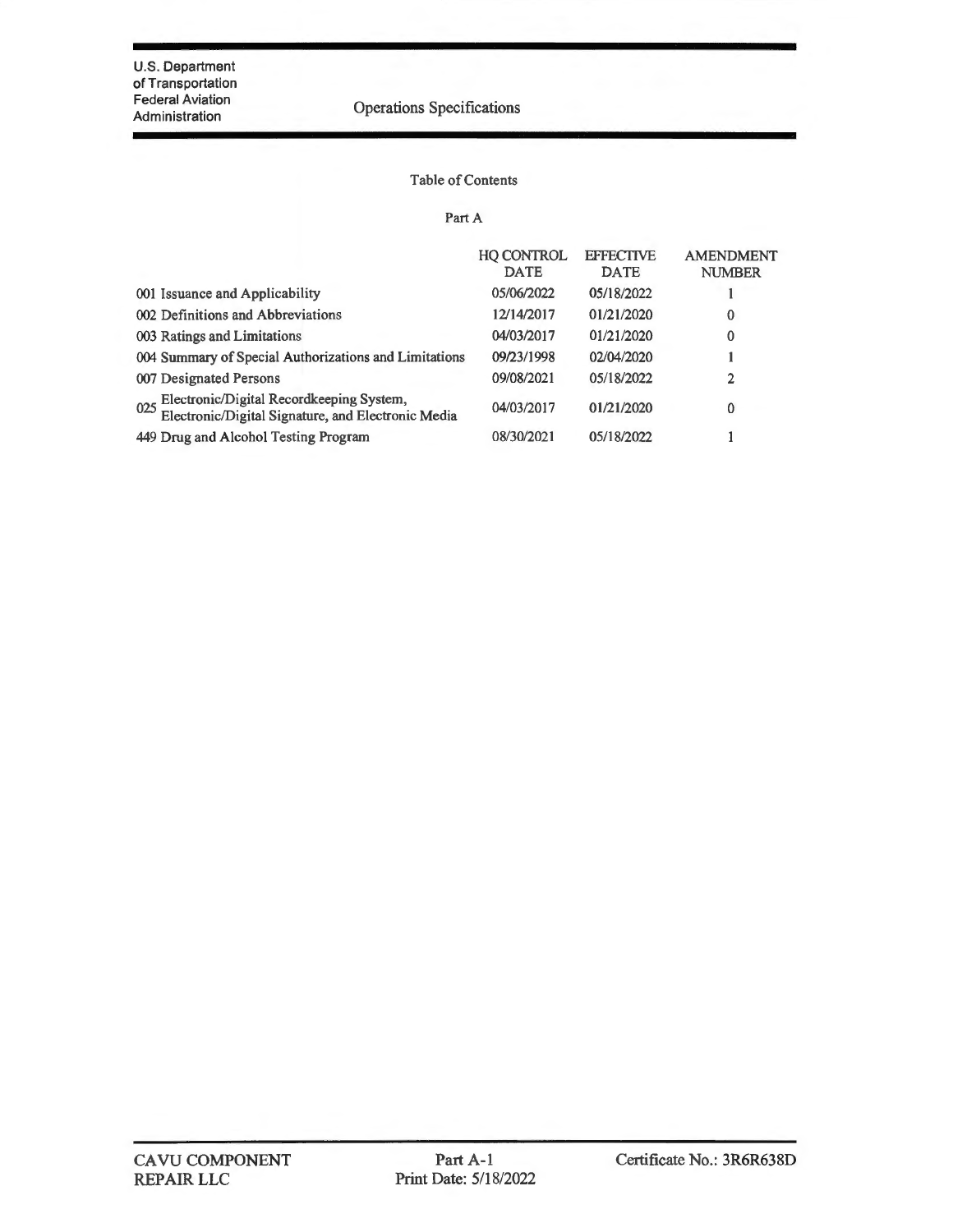# Operations Specifications

#### Table of Contents

#### Part A

|                                                                                                    | <b>HO CONTROL</b><br><b>DATE</b> | <b>EFFECTIVE</b><br><b>DATE</b> | <b>AMENDMENT</b><br><b>NUMBER</b> |
|----------------------------------------------------------------------------------------------------|----------------------------------|---------------------------------|-----------------------------------|
| 001 Issuance and Applicability                                                                     | 05/06/2022                       | 05/18/2022                      |                                   |
| 002 Definitions and Abbreviations                                                                  | 12/14/2017                       | 01/21/2020                      | $\Omega$                          |
| 003 Ratings and Limitations                                                                        | 04/03/2017                       | 01/21/2020                      | $\Omega$                          |
| 004 Summary of Special Authorizations and Limitations                                              | 09/23/1998                       | 02/04/2020                      |                                   |
| 007 Designated Persons                                                                             | 09/08/2021                       | 05/18/2022                      | 2                                 |
| 025 Electronic/Digital Recordkeeping System,<br>Electronic/Digital Signature, and Electronic Media | 04/03/2017                       | 01/21/2020                      | $\Omega$                          |
| 449 Drug and Alcohol Testing Program                                                               | 08/30/2021                       | 05/18/2022                      |                                   |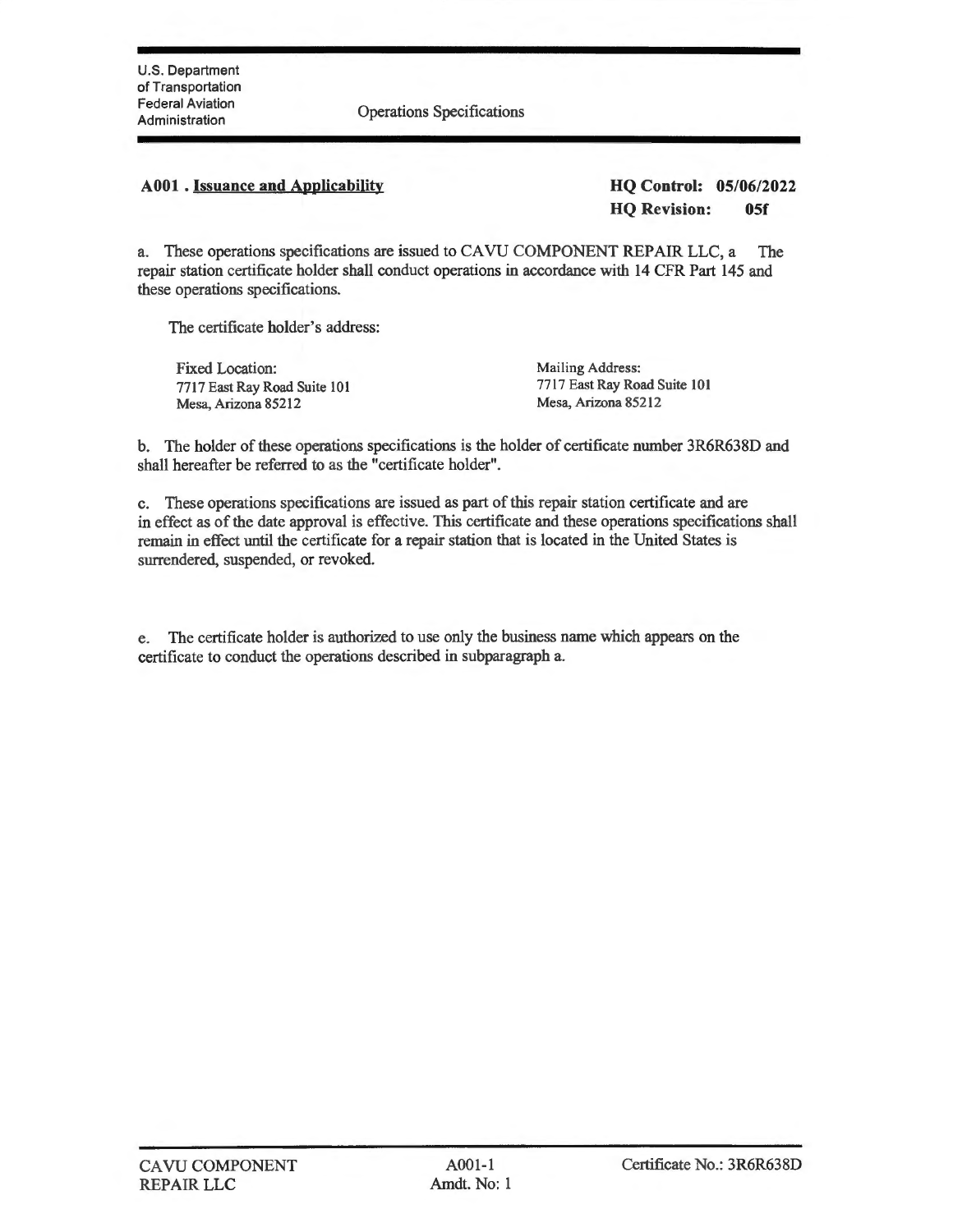Administration Operations Specifications

# **A00l . Issuance and Applicability HQ Control: 05/06/2022**

**HQ Revision: 0Sf** 

a. These operations specifications are issued to CA VU COMPONENT REPAIR LLC, a The repair station certificate holder shall conduct operations in accordance with **14** CFR Part 145 and these operations specifications.

The certificate holder's address:

Fixed Location: 7717 East Ray Road Suite 101 Mesa, Arizona 85212

Mailing Address: 7717 East Ray Road Suite 101 Mesa, Arizona 85212

b. The holder of these operations specifications is the holder of certificate number 3R6R638D and shall hereafter be referred to as the "certificate holder".

c. These operations specifications are issued as part of this repair station certificate and are in effect as of the date approval is effective. This certificate and these operations specifications shall remain in effect until the certificate for a repair station that is located in the United States is surrendered, suspended, or revoked.

e. The certificate holder is authorized to use only the business name which appears on the certificate to conduct the operations described in subparagraph a.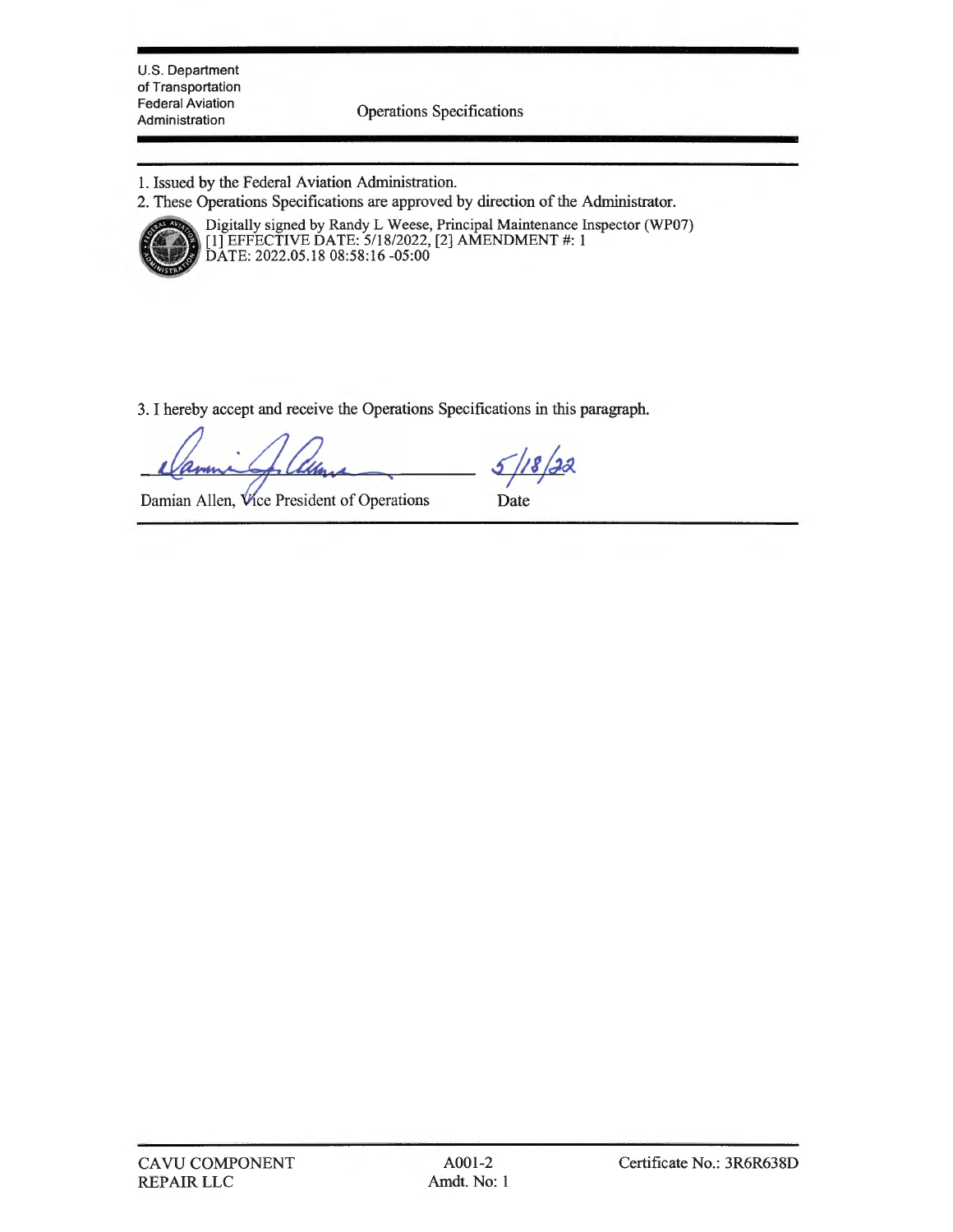U.S. Department of Transportation Federal Aviation

Administration Operations Specifications

- 1. Issued by the Federal Aviation Administration.
- 2. These Operations Specifications are approved by direction of the Administrator .



Digitally signed by Randy L Weese, Principal Maintenance Inspector (WP07) [l] EFFECTIVE DATE: 5/18/2022, [2] AMENDMENT#: l DATE: 2022.05.18 08:58:16 -05:00

3. I hereby accept and receive the Operations Specifications in this paragraph.

 $\frac{5}{18}$  22

Damian Allen, Vice President of Operations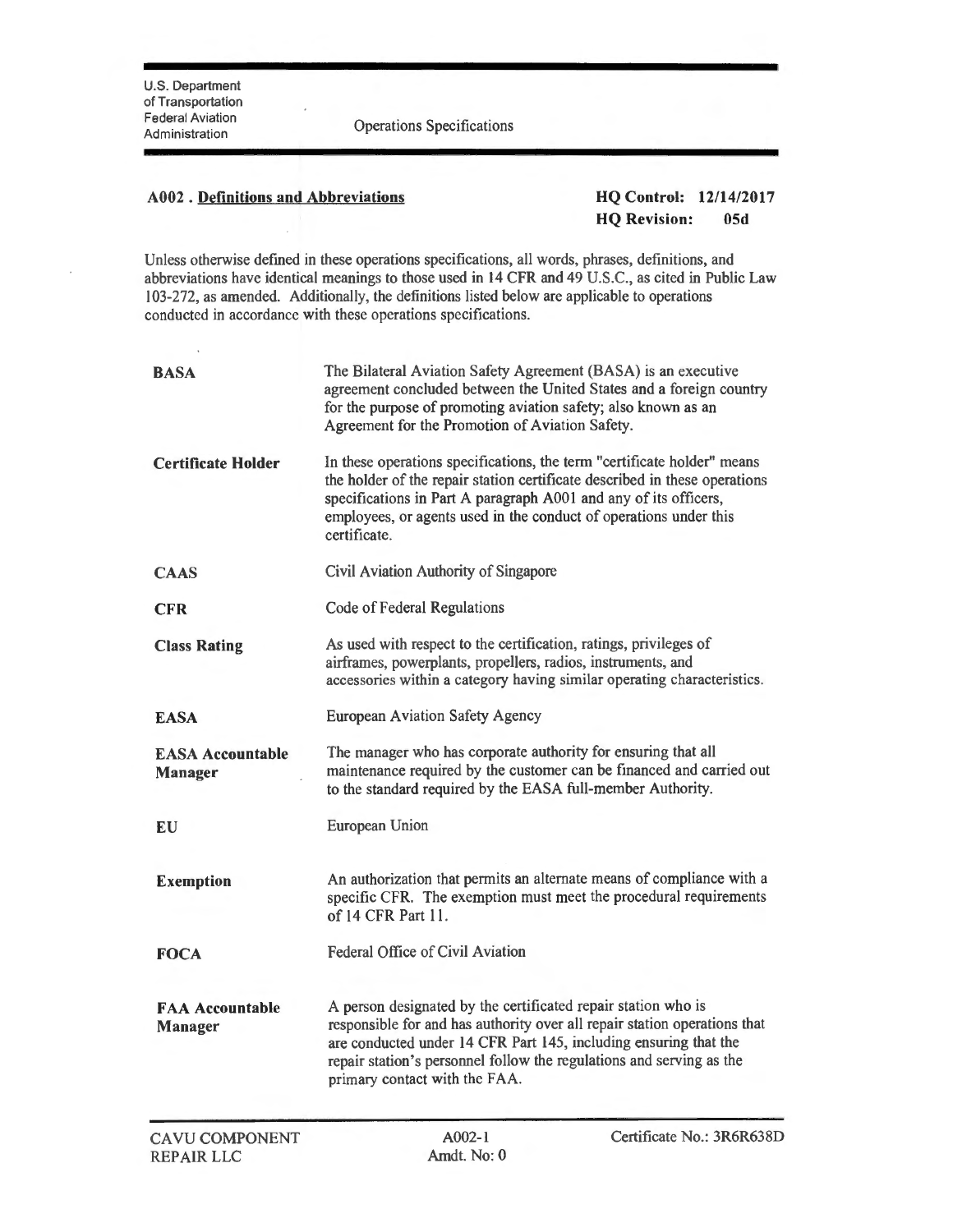**Federal Aviation**<br>Administration **Operations** Specifications

# **A002** . **Definitions and Abbreviations HQ Control: 12/14/2017**

**HQ Revision: 05d** 

Unless otherwise defined in these operations specifications, all words, phrases, definitions, and abbreviations have identical meanings to those used in 14 CFR and 49 U.S.C., as cited in Public Law 103-272, as amended. Additionally, the definitions listed below are applicable to operations conducted in accordance with these operations specifications.

| <b>BASA</b>                               | The Bilateral Aviation Safety Agreement (BASA) is an executive<br>agreement concluded between the United States and a foreign country<br>for the purpose of promoting aviation safety; also known as an<br>Agreement for the Promotion of Aviation Safety.                                                              |  |
|-------------------------------------------|-------------------------------------------------------------------------------------------------------------------------------------------------------------------------------------------------------------------------------------------------------------------------------------------------------------------------|--|
| Certificate Holder                        | In these operations specifications, the term "certificate holder" means<br>the holder of the repair station certificate described in these operations<br>specifications in Part A paragraph A001 and any of its officers,<br>employees, or agents used in the conduct of operations under this<br>certificate.          |  |
| <b>CAAS</b>                               | Civil Aviation Authority of Singapore                                                                                                                                                                                                                                                                                   |  |
| <b>CFR</b>                                | Code of Federal Regulations                                                                                                                                                                                                                                                                                             |  |
| <b>Class Rating</b>                       | As used with respect to the certification, ratings, privileges of<br>airframes, powerplants, propellers, radios, instruments, and<br>accessories within a category having similar operating characteristics.                                                                                                            |  |
| <b>EASA</b>                               | <b>European Aviation Safety Agency</b>                                                                                                                                                                                                                                                                                  |  |
| <b>EASA Accountable</b><br><b>Manager</b> | The manager who has corporate authority for ensuring that all<br>maintenance required by the customer can be financed and carried out<br>to the standard required by the EASA full-member Authority.                                                                                                                    |  |
| EU                                        | European Union                                                                                                                                                                                                                                                                                                          |  |
| <b>Exemption</b>                          | An authorization that permits an alternate means of compliance with a<br>specific CFR. The exemption must meet the procedural requirements<br>of 14 CFR Part 11.                                                                                                                                                        |  |
| <b>FOCA</b>                               | Federal Office of Civil Aviation                                                                                                                                                                                                                                                                                        |  |
| <b>FAA Accountable</b><br><b>Manager</b>  | A person designated by the certificated repair station who is<br>responsible for and has authority over all repair station operations that<br>are conducted under 14 CFR Part 145, including ensuring that the<br>repair station's personnel follow the regulations and serving as the<br>primary contact with the FAA. |  |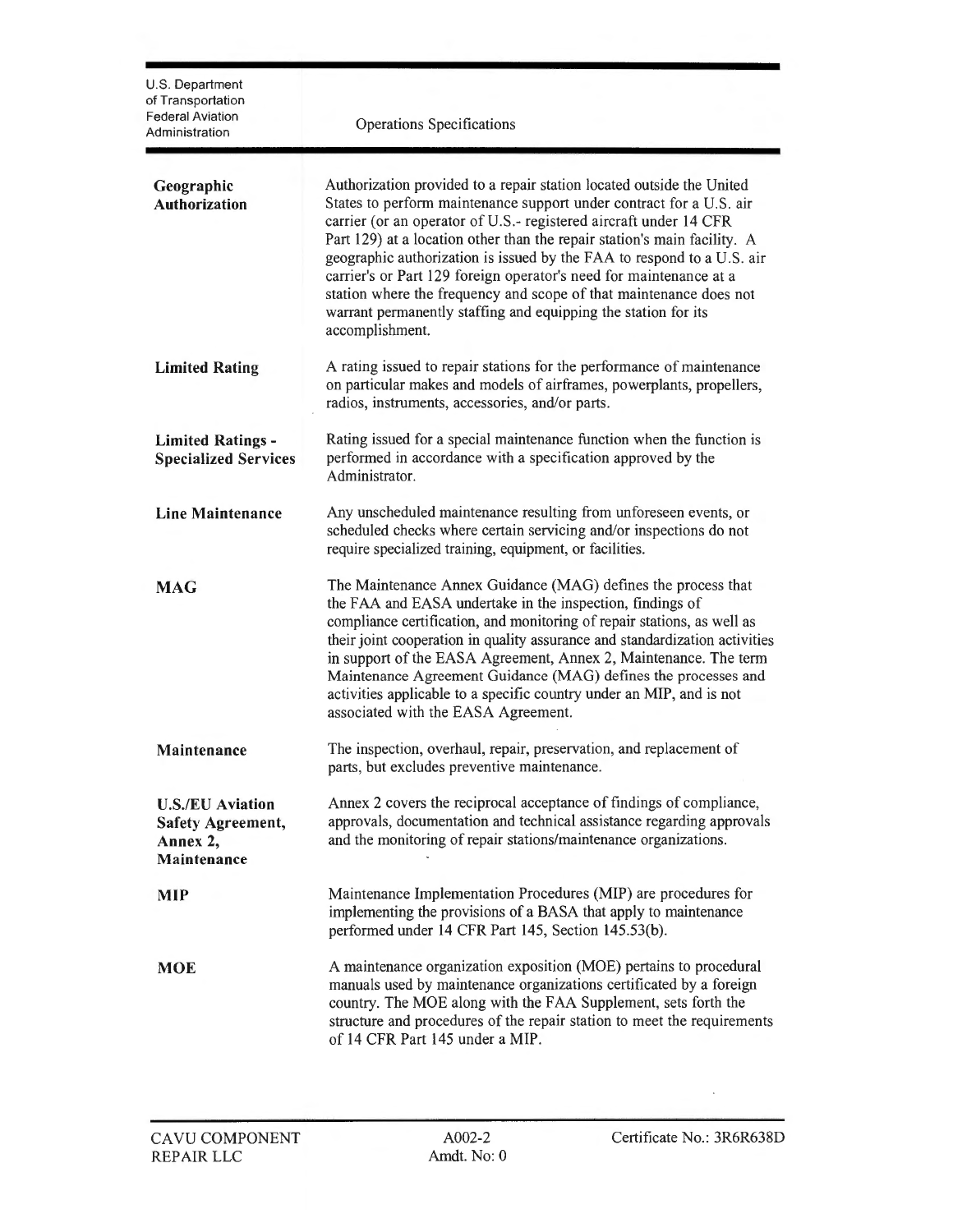| U.S. Department<br>of Transportation<br>Federal Aviation<br>Administration     | Operations Specifications                                                                                                                                                                                                                                                                                                                                                                                                                                                                                                                                                                                |
|--------------------------------------------------------------------------------|----------------------------------------------------------------------------------------------------------------------------------------------------------------------------------------------------------------------------------------------------------------------------------------------------------------------------------------------------------------------------------------------------------------------------------------------------------------------------------------------------------------------------------------------------------------------------------------------------------|
| Geographic<br><b>Authorization</b>                                             | Authorization provided to a repair station located outside the United<br>States to perform maintenance support under contract for a U.S. air<br>carrier (or an operator of U.S.- registered aircraft under 14 CFR<br>Part 129) at a location other than the repair station's main facility. A<br>geographic authorization is issued by the FAA to respond to a U.S. air<br>carrier's or Part 129 foreign operator's need for maintenance at a<br>station where the frequency and scope of that maintenance does not<br>warrant permanently staffing and equipping the station for its<br>accomplishment. |
| <b>Limited Rating</b>                                                          | A rating issued to repair stations for the performance of maintenance<br>on particular makes and models of airframes, powerplants, propellers,<br>radios, instruments, accessories, and/or parts.                                                                                                                                                                                                                                                                                                                                                                                                        |
| <b>Limited Ratings -</b><br><b>Specialized Services</b>                        | Rating issued for a special maintenance function when the function is<br>performed in accordance with a specification approved by the<br>Administrator.                                                                                                                                                                                                                                                                                                                                                                                                                                                  |
| <b>Line Maintenance</b>                                                        | Any unscheduled maintenance resulting from unforeseen events, or<br>scheduled checks where certain servicing and/or inspections do not<br>require specialized training, equipment, or facilities.                                                                                                                                                                                                                                                                                                                                                                                                        |
| <b>MAG</b>                                                                     | The Maintenance Annex Guidance (MAG) defines the process that<br>the FAA and EASA undertake in the inspection, findings of<br>compliance certification, and monitoring of repair stations, as well as<br>their joint cooperation in quality assurance and standardization activities<br>in support of the EASA Agreement, Annex 2, Maintenance. The term<br>Maintenance Agreement Guidance (MAG) defines the processes and<br>activities applicable to a specific country under an MIP, and is not<br>associated with the EASA Agreement.                                                                |
| Maintenance                                                                    | The inspection, overhaul, repair, preservation, and replacement of<br>parts, but excludes preventive maintenance.                                                                                                                                                                                                                                                                                                                                                                                                                                                                                        |
| <b>U.S./EU Aviation</b><br><b>Safety Agreement,</b><br>Annex 2,<br>Maintenance | Annex 2 covers the reciprocal acceptance of findings of compliance,<br>approvals, documentation and technical assistance regarding approvals<br>and the monitoring of repair stations/maintenance organizations.                                                                                                                                                                                                                                                                                                                                                                                         |
| <b>MIP</b>                                                                     | Maintenance Implementation Procedures (MIP) are procedures for<br>implementing the provisions of a BASA that apply to maintenance<br>performed under 14 CFR Part 145, Section 145.53(b).                                                                                                                                                                                                                                                                                                                                                                                                                 |
| <b>MOE</b>                                                                     | A maintenance organization exposition (MOE) pertains to procedural<br>manuals used by maintenance organizations certificated by a foreign<br>country. The MOE along with the FAA Supplement, sets forth the<br>structure and procedures of the repair station to meet the requirements<br>of 14 CFR Part 145 under a MIP.                                                                                                                                                                                                                                                                                |

 $\bar{z}$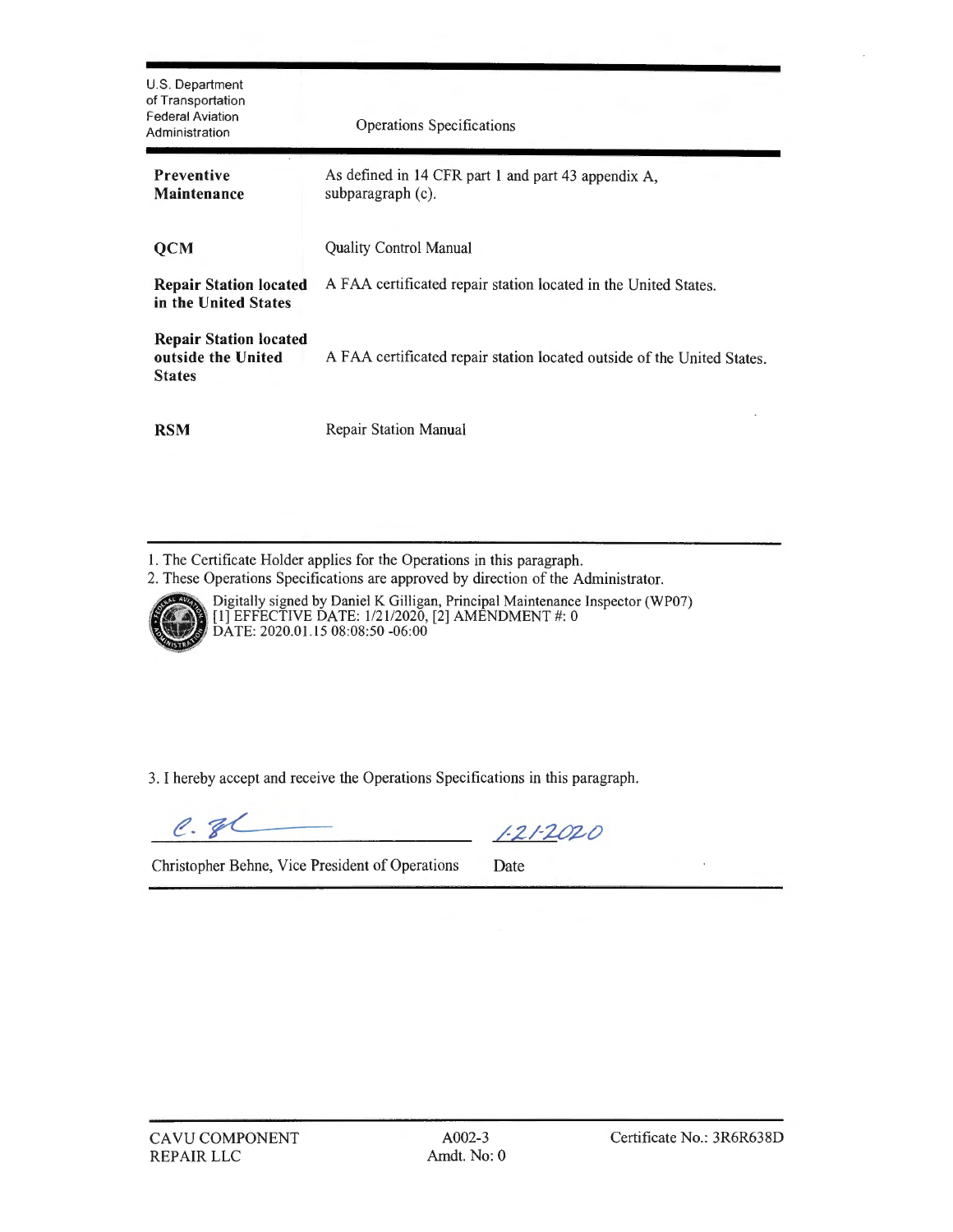| U.S. Department<br>of Transportation<br><b>Federal Aviation</b><br>Administration | <b>Operations Specifications</b>                                         |
|-----------------------------------------------------------------------------------|--------------------------------------------------------------------------|
| <b>Preventive</b><br>Maintenance                                                  | As defined in 14 CFR part 1 and part 43 appendix A,<br>subparagraph (c). |
| <b>QCM</b>                                                                        | <b>Quality Control Manual</b>                                            |
| <b>Repair Station located</b><br>in the United States                             | A FAA certificated repair station located in the United States.          |
| <b>Repair Station located</b><br>outside the United<br><b>States</b>              | A FAA certificated repair station located outside of the United States.  |
| <b>RSM</b>                                                                        | <b>Repair Station Manual</b>                                             |

l. The Certificate Holder applies for the Operations in this paragraph.

2. These Operations Specifications are approved by direction of the Administrator.



Digitally signed by Daniel K Gilligan, Principal Maintenance Inspector (WP07)<br>[1] EFFECTIVE DATE: 1/21/2020, [2] AMENDMENT #: 0 **DATE: 2020.01.15 08:08:50 -06:00** 

3. I hereby accept and receive the Operations Specifications in this paragraph.

 $e.$ gl

 $1 - 21 - 2020$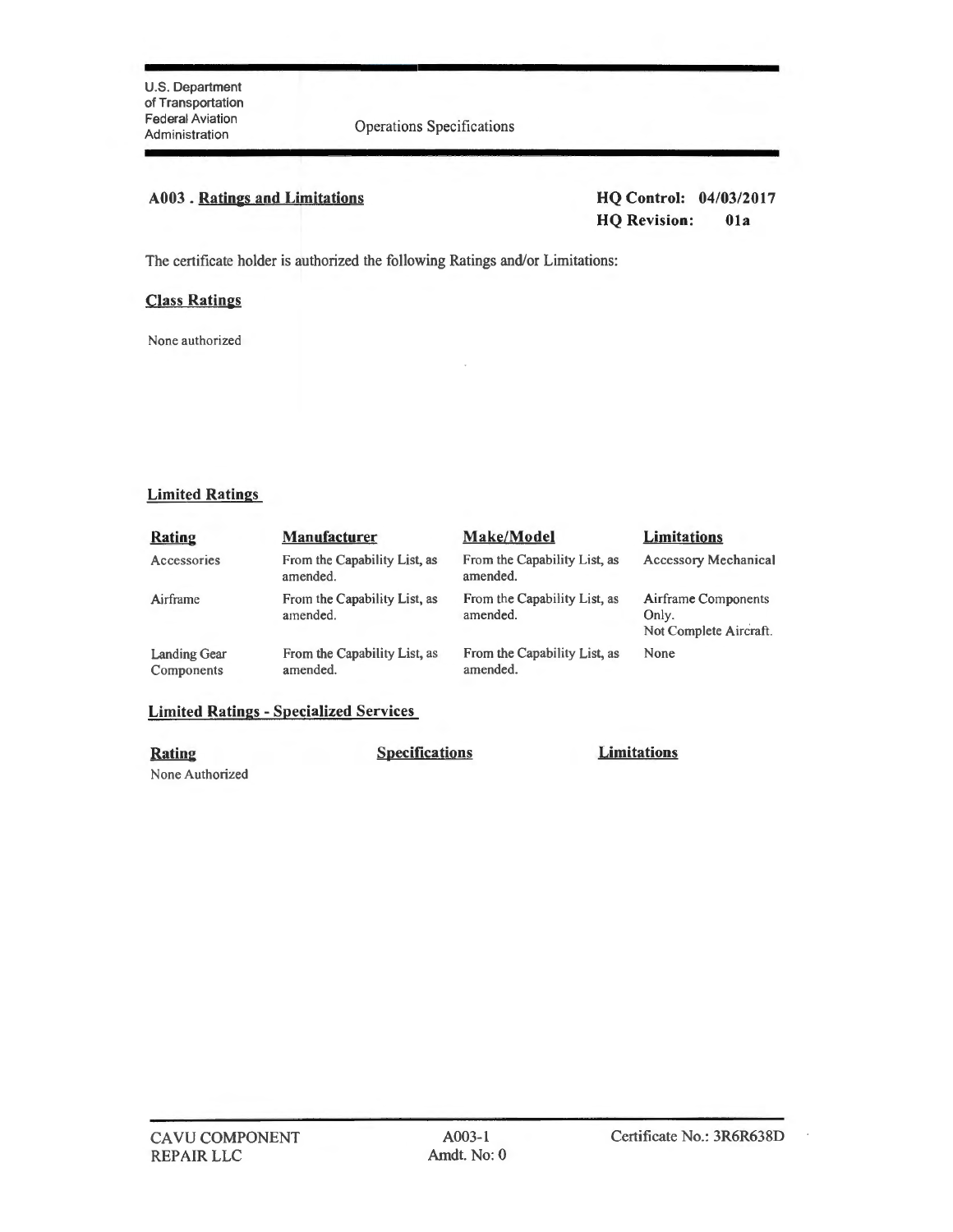**Operations Specifications** 

# **A003 . Ratings and Limitations HQ Control: 04/03/201 7**

# **HQ Revision: Ola**

The certificate holder is authorized the following Ratings and/or Limitations:

# **Class Ratings**

None authorized

# **Limited Ratings**

| <b>Rating</b>                     | <b>Manufacturer</b>                      | Make/Model                               | <b>Limitations</b>                                     |
|-----------------------------------|------------------------------------------|------------------------------------------|--------------------------------------------------------|
| Accessories                       | From the Capability List, as<br>amended. | From the Capability List, as<br>amended. | <b>Accessory Mechanical</b>                            |
| Airframe                          | From the Capability List, as<br>amended. | From the Capability List, as<br>amended. | Airframe Components<br>Only.<br>Not Complete Aircraft. |
| <b>Landing Gear</b><br>Components | From the Capability List, as<br>amended. | From the Capability List, as<br>amended. | None                                                   |

# **Limited Ratings - Specialized Services**

None Authorized

CA VU COMPONENT

REPAIR LLC

**Rating Specifications Limitations** 

A003-l Amdt. No: 0

 $\overline{\phantom{a}}$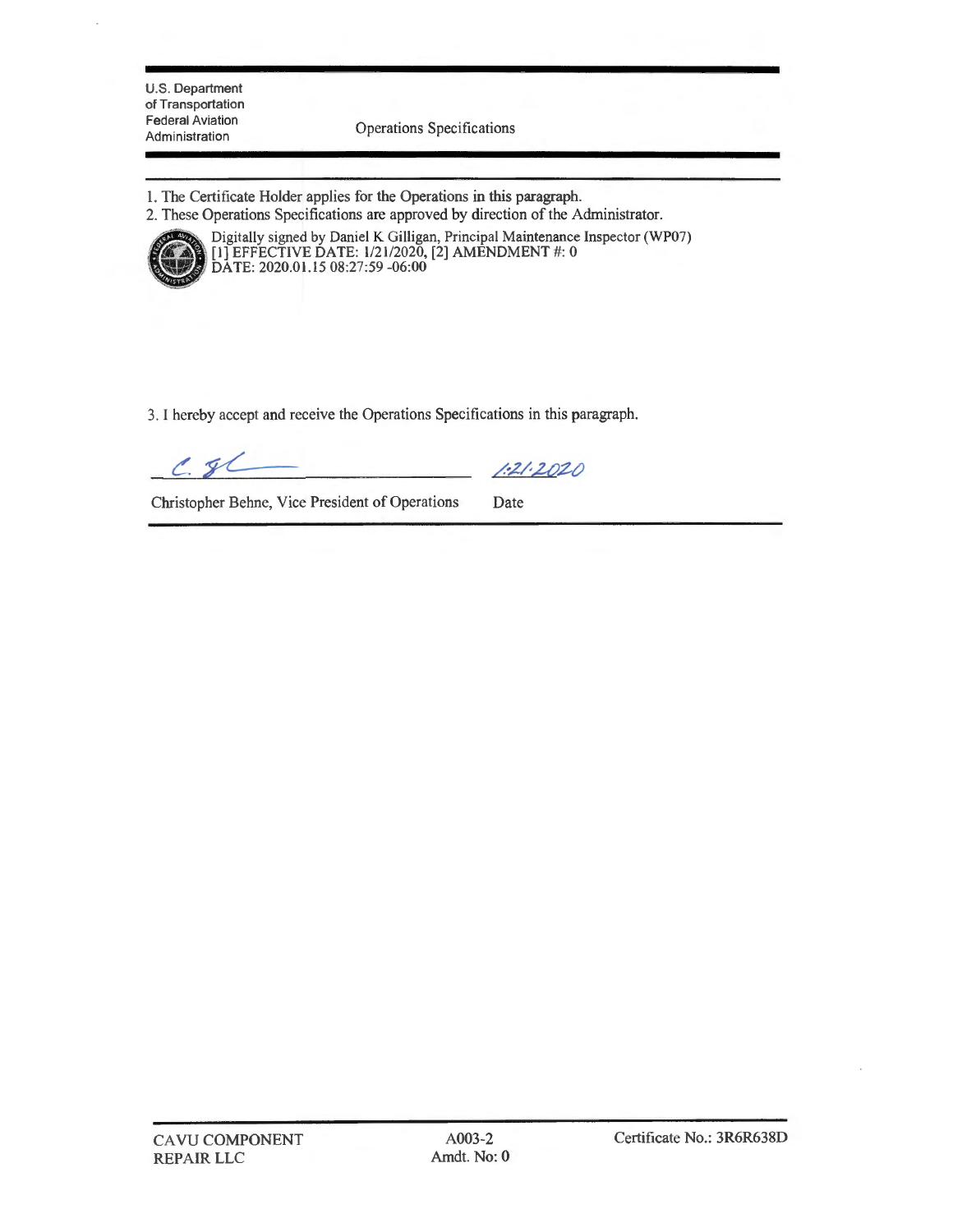U.S. Department of Transportation Federal Aviation<br>Administration

Operations Specifications

- 1. The Certificate Holder applies for the Operations in this paragraph.
- 2. These Operations Specifications are approved by direction of the Administrator.



Digitally signed by Daniel K Gilligan, Principal Maintenance Inspector (WP07)  $\left[1\right]$  EFFECTIVE DATE: 1/21/2020, [2] AMENDMENT #: 0 DATE: 2020.01.15 08:27:59 -06:00

3. I hereby accept and receive the Operations Specifications in this paragraph.

 $C.81$ 

 $1:21:2020$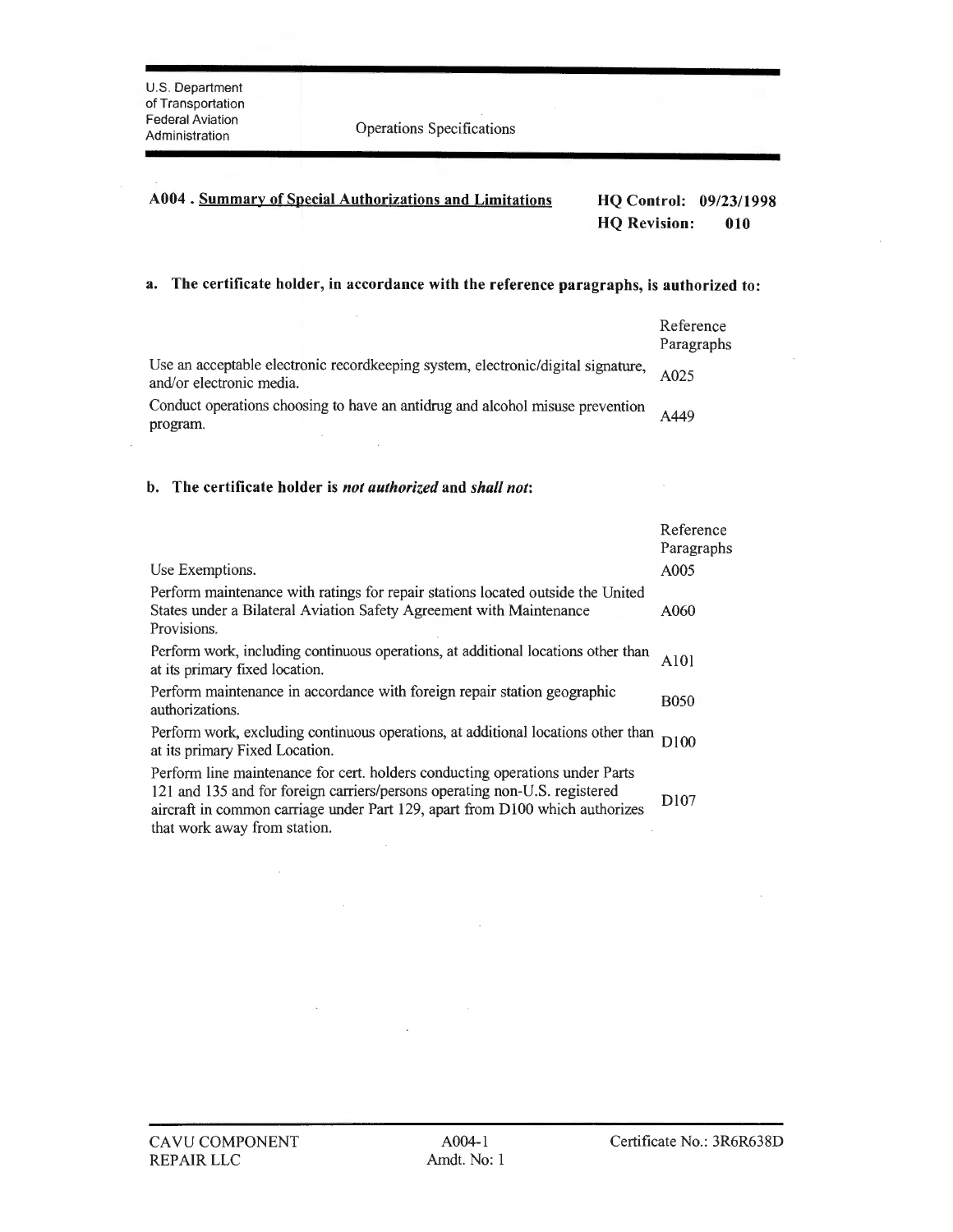$\cdot$ 

Pederal Aviation<br>Administration **Operations** Specifications

# **A004 . Summary of Special Authorizations and Limitations HQ Control: 09/23/1998 HQ Revision: 010**

# **a. The certificate holder, in accordance with the reference paragraphs, is authorized to:**

|                                                                                                              | Reference<br>Paragraphs |
|--------------------------------------------------------------------------------------------------------------|-------------------------|
| Use an acceptable electronic recordkeeping system, electronic/digital signature,<br>and/or electronic media. | A025                    |
| Conduct operations choosing to have an antidrug and alcohol misuse prevention<br>program.                    | A449                    |

### **b. The certificate holder is** *not authorized* **and** *shall not:*

 $\lambda$ 

 $\bar{\mathcal{A}}$ 

|                                                                                                                                                                                                                                                                            | Reference<br>Paragraphs      |
|----------------------------------------------------------------------------------------------------------------------------------------------------------------------------------------------------------------------------------------------------------------------------|------------------------------|
| Use Exemptions.                                                                                                                                                                                                                                                            | A005                         |
| Perform maintenance with ratings for repair stations located outside the United<br>States under a Bilateral Aviation Safety Agreement with Maintenance<br>Provisions.                                                                                                      | A060                         |
| Perform work, including continuous operations, at additional locations other than<br>at its primary fixed location.                                                                                                                                                        | A <sub>10</sub> <sup>1</sup> |
| Perform maintenance in accordance with foreign repair station geographic<br>authorizations.                                                                                                                                                                                | <b>B050</b>                  |
| Perform work, excluding continuous operations, at additional locations other than<br>at its primary Fixed Location.                                                                                                                                                        | D100                         |
| Perform line maintenance for cert. holders conducting operations under Parts<br>121 and 135 and for foreign carriers/persons operating non-U.S. registered<br>aircraft in common carriage under Part 129, apart from D100 which authorizes<br>that work away from station. | D <sub>107</sub>             |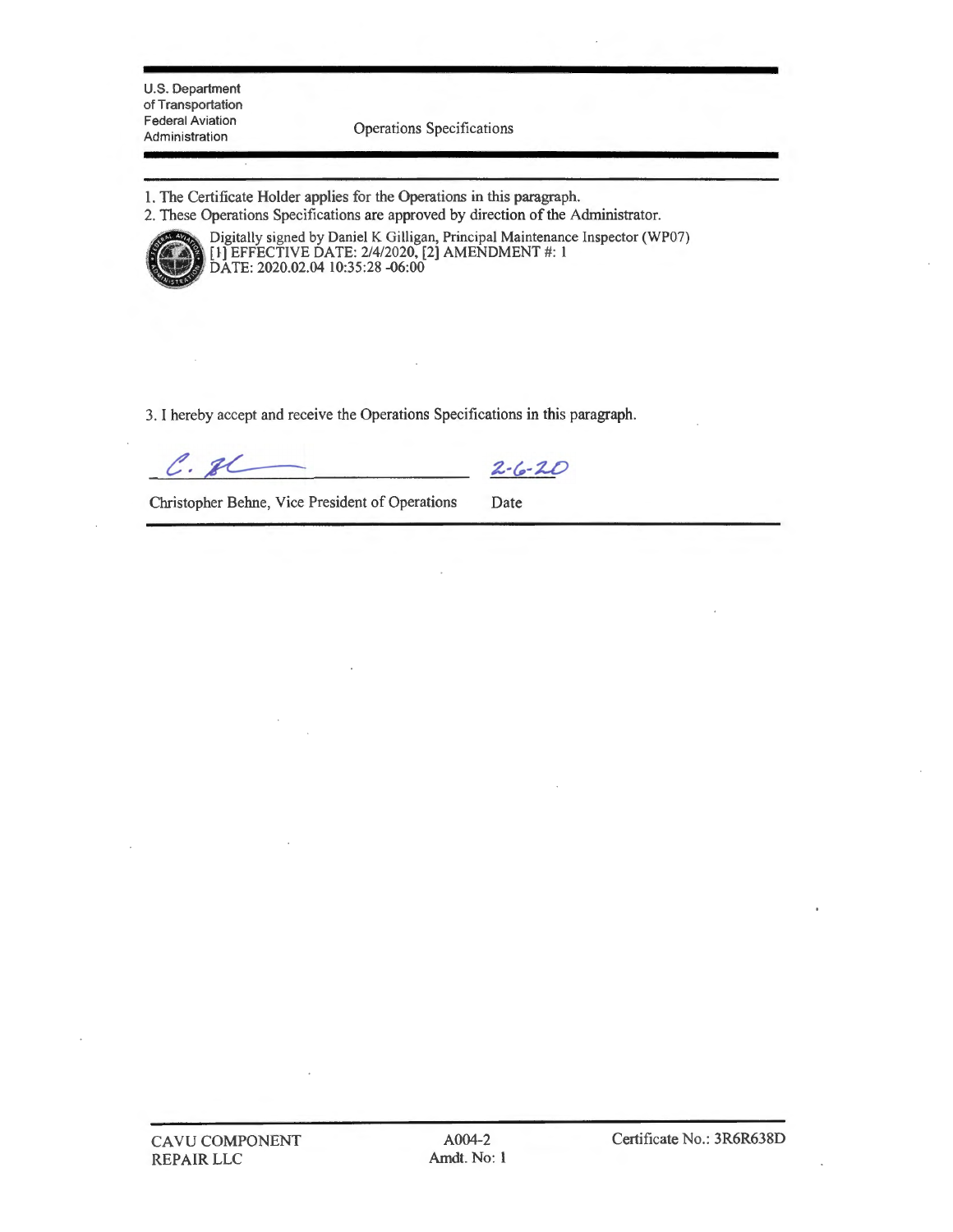U.S. Department of Transportation Federal Aviation<br>Administration

Operations Specifications

1. The Certificate Holder applies for the Operations in this paragraph.

2. These Operations Specifications are approved by direction of the Administrator.



Digitally signed by Daniel K Gilligan, Principal Maintenance Inspector (WP07) <sup>~</sup>[I-] EFFECTIVE DATE: 2/4/2020, [2] AMENDMENT#: 1 · DATE: 2020.02.04 10:35:28 -06:00

3. I hereby accept and receive the Operations Specifications in this paragraph.

 $C.7C$ 

 $2 - 6 - 20$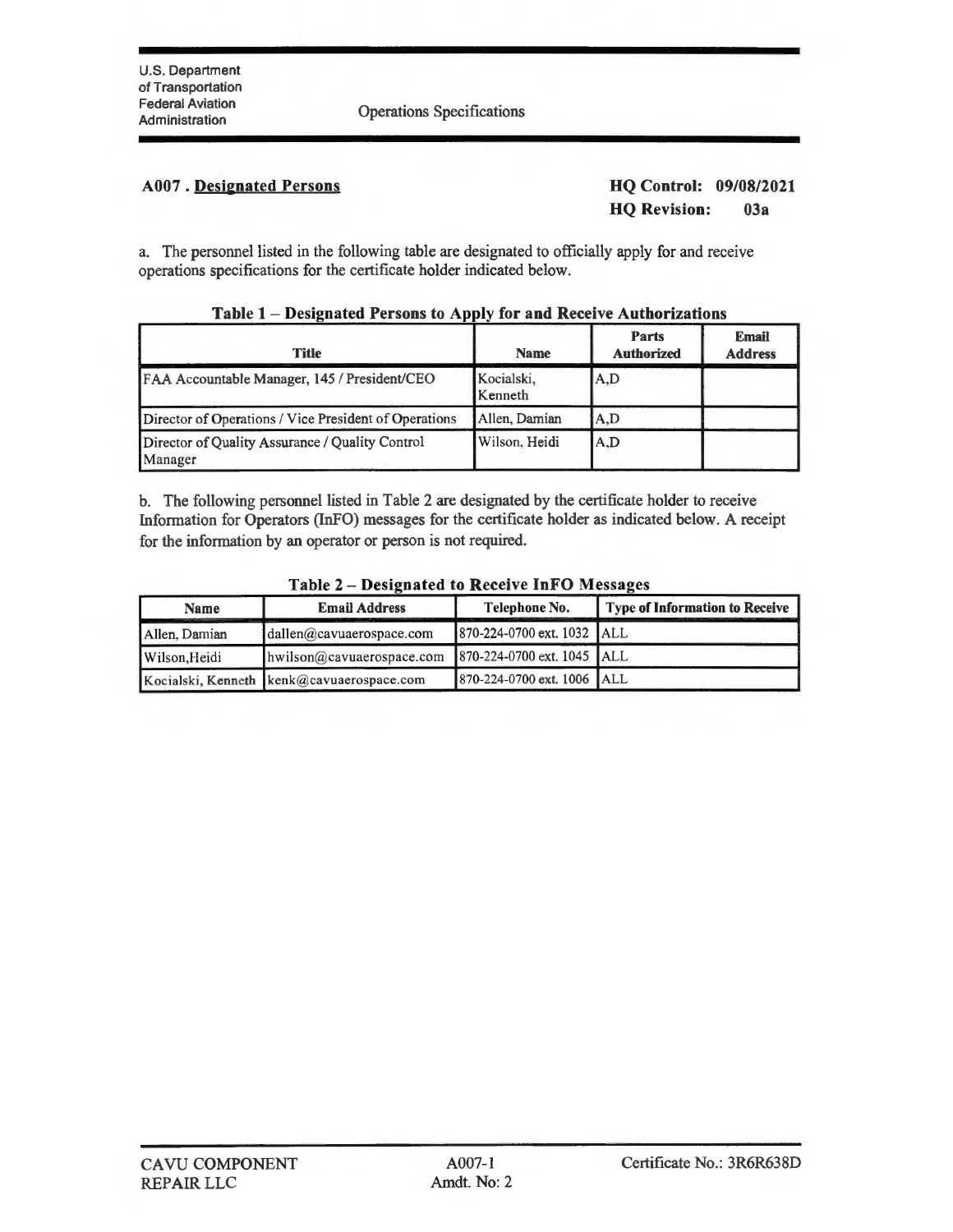Operations Specifications

# **A007** . **Desienated Persons**

**HQ Control: 09/08/2021 HQ Revision: 03a** 

a. The personnel listed in the following table are designated to officially apply for and receive operations specifications for the certificate holder indicated below.

| <b>Title</b>                                               | <b>Name</b>           | <b>Parts</b><br><b>Authorized</b> | <b>Email</b><br><b>Address</b> |
|------------------------------------------------------------|-----------------------|-----------------------------------|--------------------------------|
| FAA Accountable Manager, 145 / President/CEO               | Kocialski,<br>Kenneth | A,D                               |                                |
| Director of Operations / Vice President of Operations      | Allen, Damian         | A.D                               |                                |
| Director of Quality Assurance / Quality Control<br>Manager | Wilson, Heidi         | A,D                               |                                |

# **Table 1** - **Designated Persons to Apply for and Receive Authorizations**

b. The following personnel listed in Table 2 are designated by the certificate holder to receive Infonnation for Operators (InFO) messages for the certificate holder as indicated below. A receipt for the information by an operator or person is not required.

| <b>Name</b>   | <b>Email Address</b>                        | Telephone No.              | Type of Information to Receive |
|---------------|---------------------------------------------|----------------------------|--------------------------------|
| Allen, Damian | $d$ allen@cavuaerospace.com                 | 870-224-0700 ext. 1032 ALL |                                |
| Wilson, Heidi | hwilson@cavuaerospace.com                   | 870-224-0700 ext. 1045 ALL |                                |
|               | Kocialski, Kenneth   kenk@cavuaerospace.com | 870-224-0700 ext. 1006 ALL |                                |

### **Table 2** - **Designated to Receive InFO Messages**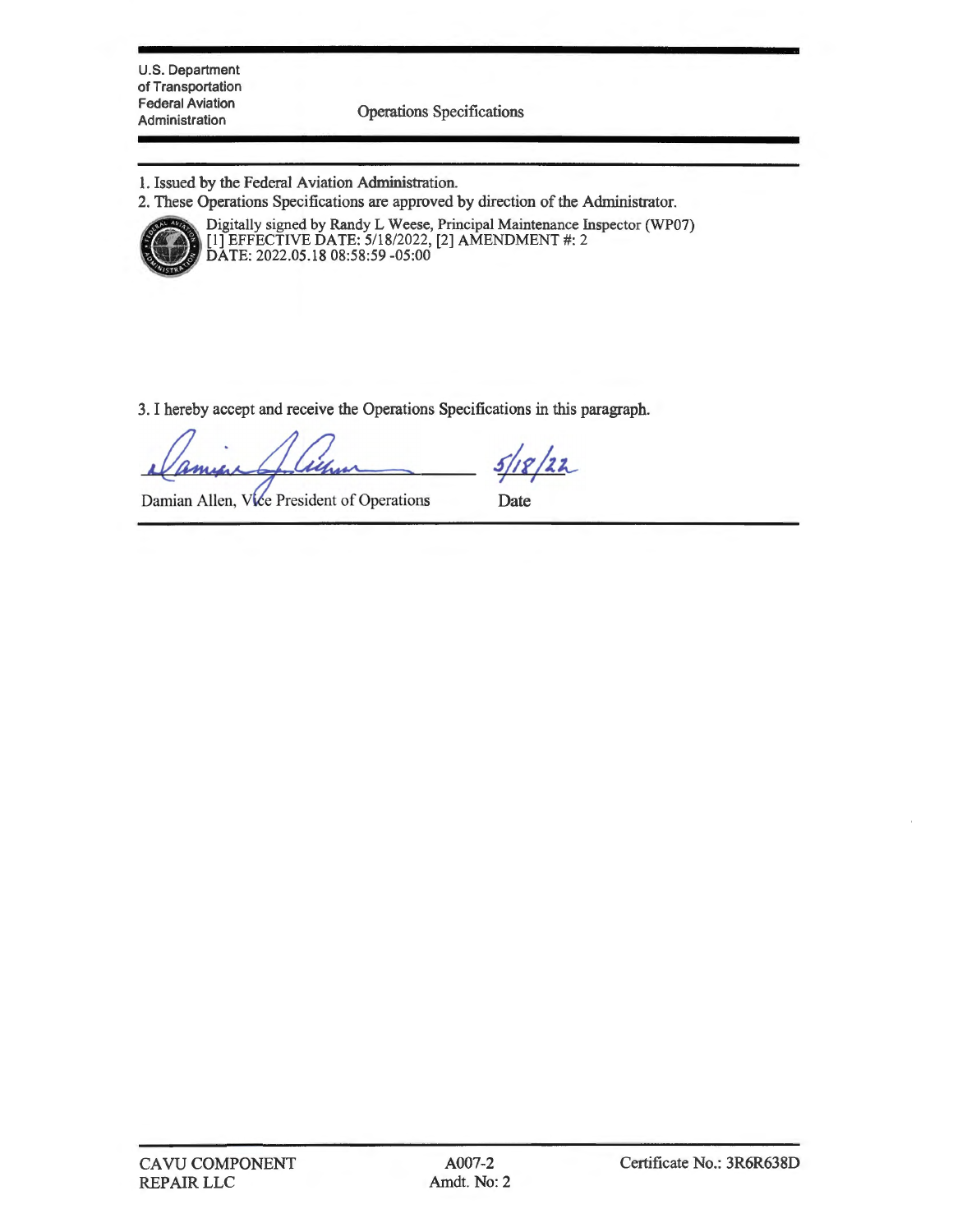U.S. Department of Transportation Federal Aviation

Administration Operations Specifications

- 1. Issued by the Federal Aviation Administration.
- 2. These Operations Specifications are approved by direction of the Administrator.



.. These Operations specifications are approved by direction of the Administrator.<br>Digitally signed by Randy L Weese, Principal Maintenance Inspector (WP07)<br>[1] EFFECTIVE DATE: 5/18/2022, [2] AMENDMENT #: 2 DATE: 2022.05.18 08:58:59 -05:00

3. I hereby accept and receive the Operations Specifications in this paragraph.

 $2/22$ 

Damian Allen, Vice President of Operations

Date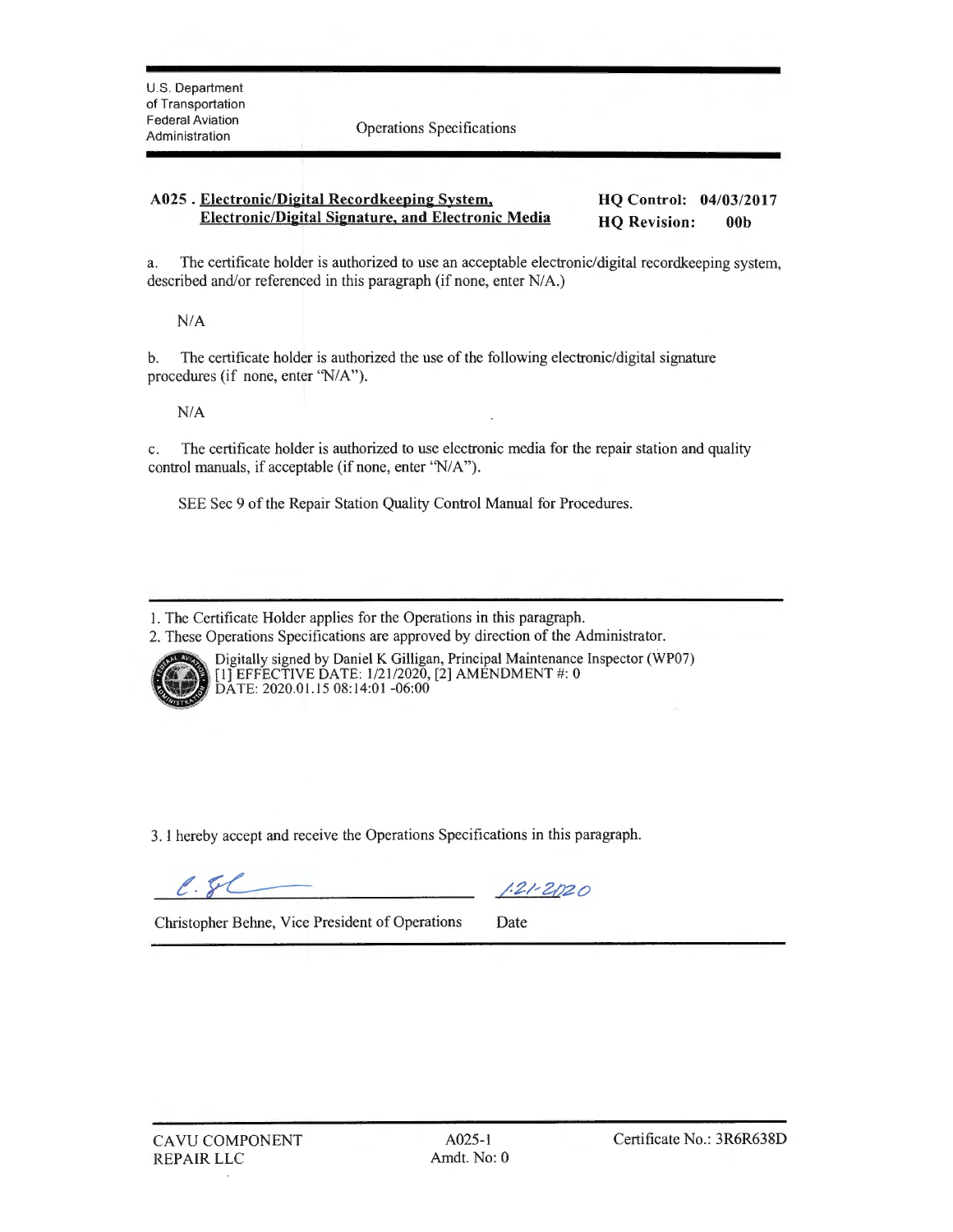Administration Operations Specifications

#### **A025** . **Electronic/Digital Recordkeeping System, Electronic/Digital Signature, and Electronic Media HQ Control: 04/03/2017 HQ Revision: 00b**

a. The certificate holder is authorized to use an acceptable electronic/digital recordkeeping system, described and/or referenced in this paragraph (if none, enter N/A.)

 $N/A$ 

b. The certificate holder is authorized the use of the following electronic/digital signature procedures (if none, enter 'N/A'').

 $N/A$ 

c. The certificate holder is authorized to use electronic media for the repair station and quality control manuals, if acceptable (if none, enter "N/A").

SEE Sec 9 of the Repair Station Quality Control Manual for Procedures.

<sup>2.</sup> These Operations Specifications are approved by direction of the Administrator.



Digitally signed by Daniel K Gilligan, Principal Maintenance Inspector (WP07) [l] EFFECTIVE DATE: 1/21/2020, [2] AMENDMENT#: 0 DATE: 2020.01.15 08:14:01 -06:00

3. I hereby accept and receive the Operations Specifications in this paragraph.

 $\ell.5\ell$ 

 $1.21 - 2020$ 

<sup>1.</sup> The Certificate Holder applies for the Operations in this paragraph.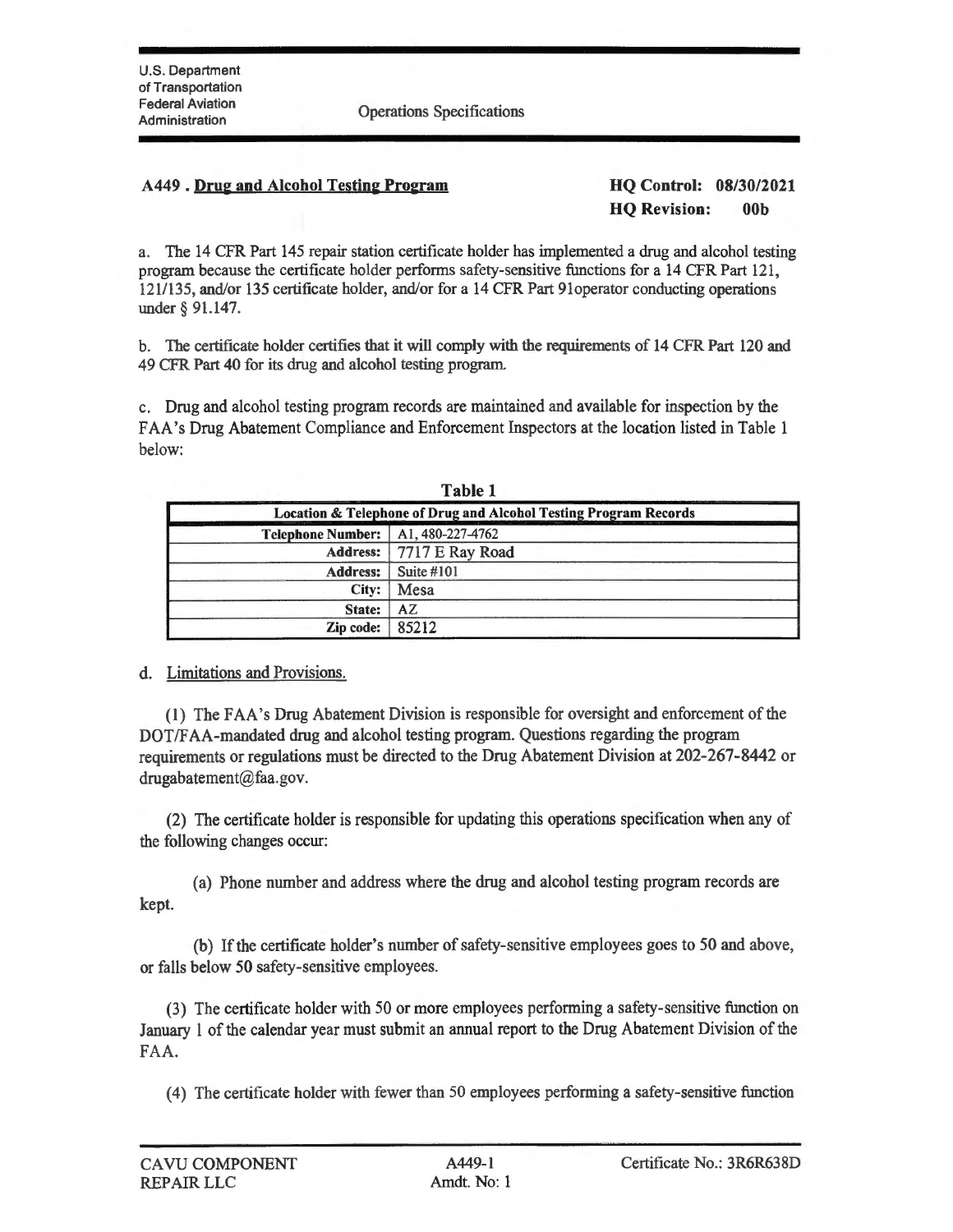Administration Operations Specifications

## **A449** . **Dru2 and Alcohol Testin2 Pro2ram HQ Control: 08/30/2021**

**HQ Revision: 00b** 

a. The 14 CFR Part 145 repair station certificate holder has implemented a drug and alcohol testing program because the certificate holder performs safety-sensitive functions for a 14 CFR Part 121, 121/135, and/or 135 certificate holder, and/or for a 14 CFR Part 91operator conducting operations under§ 91.147.

b. The certificate holder certifies that it will comply with the requirements of 14 CFR Part 120 and 49 CFR Part 40 for its drug and alcohol testing program.

c. Drug and alcohol testing program records are maintained and available for inspection by the FAA's Drug Abatement Compliance and Enforcement Inspectors at the location listed in Table 1 below:

| 1 AVIV 1<br><b>Location &amp; Telephone of Drug and Alcohol Testing Program Records</b> |  |  |
|-----------------------------------------------------------------------------------------|--|--|
|                                                                                         |  |  |
| Address:   7717 E Ray Road                                                              |  |  |
| Suite $#101$                                                                            |  |  |
| Mesa<br>City:                                                                           |  |  |
| AZ                                                                                      |  |  |
| 85212<br>$\mathbf{Zip}$ code: $\mathbf{\parallel}$                                      |  |  |
|                                                                                         |  |  |

**Table 1** 

# d. Limitations and Provisions.

(1) The FAA's Drug Abatement Division is responsible for oversight and enforcement of the DOT/FAA-mandated drug and alcohol testing program. Questions regarding the program requirements or regulations must be directed to the Drug Abatement Division at 202-267-8442 or drugabatement@faa.gov.

(2) The certificate holder is responsible for updating this operations specification when any of the following changes occur:

(a) Phone number and address where the drug and alcohol testing program records are kept.

(b) If the certificate holder's number of safety-sensitive employees goes to 50 and above, or falls below 50 safety-sensitive employees.

(3) The certificate holder with 50 or more employees performing a safety-sensitive function on January 1 of the calendar year must submit an annual report to the Drug Abatement Division of the FAA.

(4) The certificate holder with fewer than 50 employees performing a safety-sensitive function